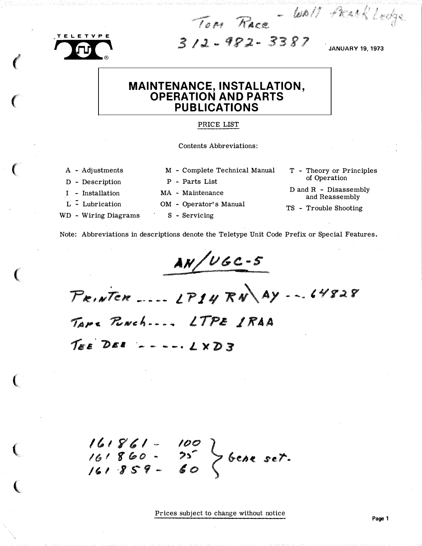**TELETYPE** 

 $\left($ 

 $\big($ 

 $\big($ 

(

(

(

�

 $\sqrt{10}$  3/2 - 982 - 3387

Tom Race WAN FRANKLERS

# MAINTENANCE, INSTALLATION, OPERATION AND PARTS PUBLICATIONS

#### PRICE LIST

Contents Abbreviations:

- A Adjustments
- D Description
- I Installation
- L Lubrication
- WD Wiring Diagrams
- M Complete Technical Manual
- P Parts List
- MA Maintenance
- OM Operator's Manual
- S Servicing

T - Theory or Principles of Operation

D and R - Disassembly and Reassembly

TS - Trouble Shooting

Note: Abbreviations in descriptions denote the Teletype Unit Code Prefix or Special Features.

 $AN/UGC-S$ iconal production of the company of the company of the company of the company of the company of the company of

 $P_{R,N}$ Ten ....  $LP14$   $RN$   $A$ y  $-$  ...  $44828$ Tape Rouch.... LTPE IRAA  $T_{EE}$  DEE  $---12XDS$ 

/tiY�I·- 161 860 - $161859 \frac{100}{25}$   $\bigg\}$  bene set.

Prices subject to change without notice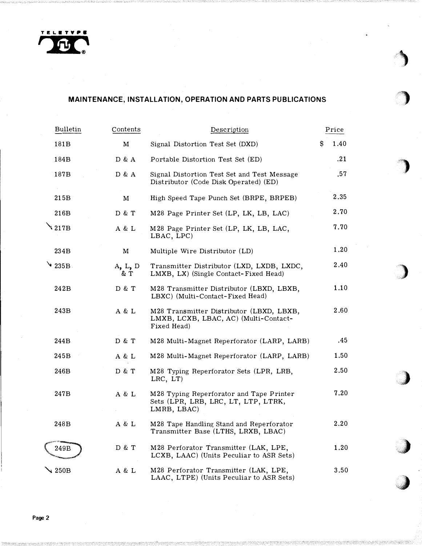

# MAINTENANCE, INSTALLATION, OPERATION AND PARTS PUBLICATIONS

| <b>Bulletin</b>        | Contents      | Description                                                                                      |   | Price |
|------------------------|---------------|--------------------------------------------------------------------------------------------------|---|-------|
| 181B                   | M             | Signal Distortion Test Set (DXD)                                                                 | S | 1.40  |
| 184B                   | D & A         | Portable Distortion Test Set (ED)                                                                |   | .21   |
| 187B                   | D & A         | Signal Distortion Test Set and Test Message<br>Distributor (Code Disk Operated) (ED)             |   | .57   |
| 215B                   | м             | High Speed Tape Punch Set (BRPE, BRPEB)                                                          |   | 2.35  |
| 216B                   | D & T         | M28 Page Printer Set (LP, LK, LB, LAC)                                                           |   | 2.70  |
| $\mathbf{\hat{2}17B}$  | A & L         | M28 Page Printer Set (LP, LK, LB, LAC,<br>LBAC, LPC)                                             |   | 7.70  |
| 234B                   | м             | Multiple Wire Distributor (LD)                                                                   |   | 1.20  |
| $\triangleright$ 235B. | A, L, D<br>&Τ | Transmitter Distributor (LXD, LXDB, LXDC,<br>LMXB, LX) (Single Contact-Fixed Head)               |   | 2.40  |
| 242B                   | D & T         | M28 Transmitter Distributor (LBXD, LBXB,<br>LBXC) (Multi-Contact-Fixed Head)                     |   | 1.10  |
| 243B                   | A & L         | M28 Transmitter Distributor (LBXD, LBXB,<br>LMXB, LCXB, LBAC, AC) (Multi-Contact-<br>Fixed Head) |   | 2.60  |
| 244B                   | D & T         | M28 Multi-Magnet Reperforator (LARP, LARB)                                                       |   | .45   |
| 245B                   | A & L         | M28 Multi-Magnet Reperforator (LARP, LARB)                                                       |   | 1.50  |
| 246B                   | D & T         | M28 Typing Reperforator Sets (LPR, LRB,<br>LRC, LT                                               |   | 2.50  |
| 247B                   | A & L         | M28 Typing Reperforator and Tape Printer<br>Sets (LPR, LRB, LRC, LT, LTP, LTRK,<br>LMRB, LBAC)   |   | 7.20  |
| 248B                   | A & L         | M28 Tape Handling Stand and Reperforator<br>Transmitter Base (LTHS, LRXB, LBAC)                  |   | 2.20  |
| 249B                   | D & T         | M28 Perforator Transmitter (LAK, LPE,<br>LCXB, LAAC) (Units Peculiar to ASR Sets)                |   | 1.20  |
| $\angle 250B$          | A & L         | M28 Perforator Transmitter (LAK, LPE,<br>LAAC, LTPE) (Units Peculiar to ASR Sets)                |   | 3.50  |

.

··;p The contract of the contract of the contract of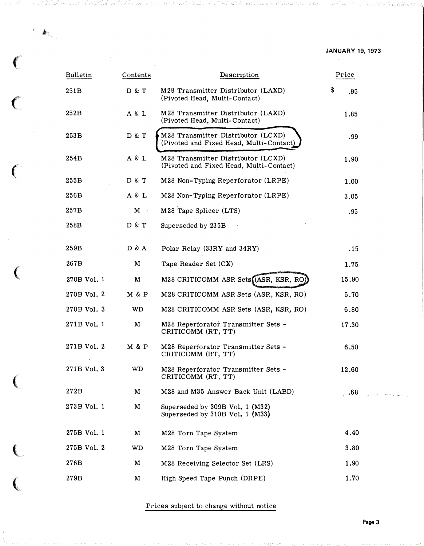| <b>Bulletin</b> | Contents  | Description                                                                   | Price     |  |
|-----------------|-----------|-------------------------------------------------------------------------------|-----------|--|
| 251 B           | D & T     | M28 Transmitter Distributor (LAXD)<br>(Pivoted Head, Multi-Contact)           | \$<br>.95 |  |
| 252B            | A & L     | M28 Transmitter Distributor (LAXD)<br>(Pivoted Head, Multi-Contact)           | 1.85      |  |
| 253B            | D & T     | M28 Transmitter Distributor (LCXD)<br>(Pivoted and Fixed Head, Multi-Contact) | .99       |  |
| 254B            | A & L     | M28 Transmitter Distributor (LCXD)<br>(Pivoted and Fixed Head, Multi-Contact) | 1.90      |  |
| 255B            | D & T     | M28 Non-Typing Reperforator (LRPE)                                            | 1.00      |  |
| 256B            | A & L     | M28 Non-Typing Reperforator (LRPE)                                            | 3.05      |  |
| 257B            | $M \cdot$ | M28 Tape Splicer (LTS)                                                        | .95       |  |
| 258B            | D & T     | Superseded by 235B                                                            |           |  |
| 259B            | D & A     | Polar Relay (33RY and 34RY)                                                   | .15       |  |
| 267B            | M         | Tape Reader Set (CX)                                                          | 1.75      |  |
| 270B Vol. 1     | M         | M28 CRITICOMM ASR Sets (ASR, KSR, RO)                                         | 15.90     |  |
| 270B Vol. 2     | M & P     | M28 CRITICOMM ASR Sets (ASR, KSR, RO)                                         | 5.70      |  |
| 270B Vol. 3     | WD.       | M28 CRITICOMM ASR Sets (ASR, KSR, RO)                                         | 6.80      |  |
| 271B Vol. 1     | M         | M28 Reperforator Transmitter Sets -<br>CRITICOMM (RT, TT)                     | 17.30     |  |
| 271B Vol. 2     | M & P     | M28 Reperforator Transmitter Sets -<br>CRITICOMM (RT, TT)                     | 6.50      |  |
| 271B Vol. 3     | <b>WD</b> | M28 Reperforator Transmitter Sets -<br>CRITICOMM (RT, TT)                     | 12.60     |  |
| 272B            | M         | M28 and M35 Answer Back Unit (LABD)                                           | .68       |  |
| 273B Vol. 1     | M         | Superseded by 309B Vol. 1 (M32)<br>Superseded by $310B$ Vol. 1 (M33)          |           |  |
| 275B Vol. 1     | M         | M28 Torn Tape System                                                          | 4.40      |  |
| 275B Vol. 2     | WD        | M28 Torn Tape System                                                          | 3.80      |  |
| 276B            | M         | M28 Receiving Selector Set (LRS)                                              | 1.90      |  |
| 279B            | M         | High Speed Tape Punch (DRPE)                                                  | 1.70      |  |

 $\ddot{\phantom{a}}$ 

 $\big($ 

 $\epsilon$ 

 $\big($ 

 $\big($ 

 $\big($ 

 $\overline{C}$ 

 $\overline{\mathbb{C}}$ 

Prices subject to change without notice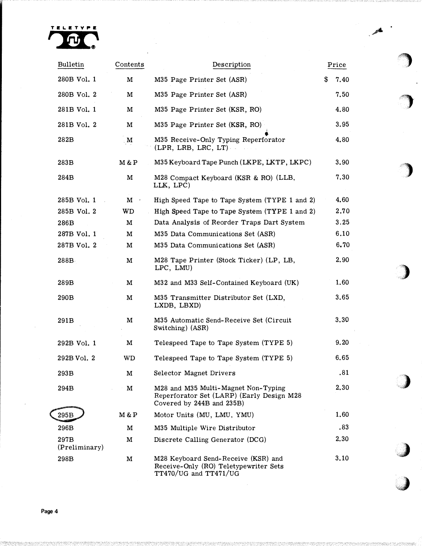

| Bulletin              | Contents     | Description                                                                                                   | Price      |  |
|-----------------------|--------------|---------------------------------------------------------------------------------------------------------------|------------|--|
| 280B Vol. 1           | M            | M35 Page Printer Set (ASR)                                                                                    | \$<br>7.40 |  |
| 280B Vol. 2           | M            | M35 Page Printer Set (ASR)                                                                                    | 7.50       |  |
| 281B Vol. 1           | $\mathbf M$  | M35 Page Printer Set (KSR, RO)                                                                                | 4.80       |  |
| 281B Vol. 2           | M            | M35 Page Printer Set (KSR, RO)                                                                                | 3.95       |  |
| 282B                  | $\mathbf{M}$ | M35 Receive-Only Typing Reperforator<br>(LPR, LRB, LRC, LT)                                                   | 4.80       |  |
| 283B                  | M & P        | M35 Keyboard Tape Punch (LKPE, LKTP, LKPC)                                                                    | 3.90       |  |
| 284B                  | M            | M28 Compact Keyboard (KSR & RO) (LLB,<br>LLK, LPC)                                                            | 7.30       |  |
| 285B Vol. 1           | $M$ ·        | High Speed Tape to Tape System (TYPE 1 and 2)                                                                 | 4.60       |  |
| 285B Vol. 2           | WD           | High Speed Tape to Tape System (TYPE 1 and 2)                                                                 | 2.70       |  |
| 286B                  | M            | Data Analysis of Reorder Traps Dart System                                                                    | 3.25       |  |
| 287B Vol. 1           | M            | M35 Data Communications Set (ASR)                                                                             | 6.10       |  |
| 287B Vol. 2           | M            | M35 Data Communications Set (ASR)                                                                             | 6.70       |  |
| 288B                  | M            | M28 Tape Printer (Stock Ticker) (LP, LB,<br>LPC, LMU)                                                         | 2.90       |  |
| 289B                  | M            | M32 and M33 Self-Contained Keyboard (UK)                                                                      | 1.60       |  |
| 290B                  | M            | M35 Transmitter Distributor Set (LXD,<br>LXDB, LBXD)                                                          | 3.65       |  |
| 291B                  | M            | M35 Automatic Send-Receive Set (Circuit<br>Switching) (ASR)                                                   | 3.30       |  |
| 292B Vol. 1           | M            | Telespeed Tape to Tape System (TYPE 5)                                                                        | 9.20       |  |
| 292B Vol. 2           | WD           | Telespeed Tape to Tape System (TYPE 5)                                                                        | 6.65       |  |
| 293B                  | M            | Selector Magnet Drivers                                                                                       | .81        |  |
| 294B                  | M            | M28 and M35 Multi-Magnet Non-Typing<br>Reperforator Set (LARP) (Early Design M28<br>Covered by 244B and 235B) | 2.30       |  |
| 295B                  | M & P        | Motor Units (MU, LMU, YMU)                                                                                    | 1.60       |  |
| 296B                  | M            | M35 Multiple Wire Distributor                                                                                 | .83        |  |
| 297B<br>(Preliminary) | M            | Discrete Calling Generator (DCG)                                                                              | 2.30       |  |
| 298B                  | M            | M28 Keyboard Send-Receive (KSR) and<br>Receive-Only (RO) Teletypewriter Sets<br>$TT470/UG$ and $TT471/UG$     | 3.10       |  |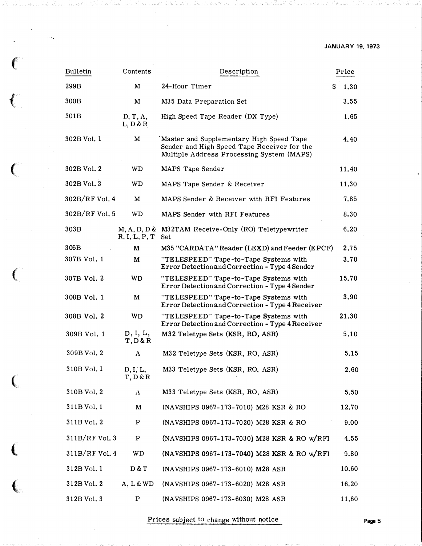| <b>Bulletin</b>  | Contents             | Description                                                                                                                          | Price     |
|------------------|----------------------|--------------------------------------------------------------------------------------------------------------------------------------|-----------|
| 299B             | M                    | 24-Hour Timer                                                                                                                        | 1.30<br>S |
| 300B             | M                    | M35 Data Preparation Set                                                                                                             | 3.55      |
| 301B             | D, T, A,<br>L, D & R | High Speed Tape Reader (DX Type)                                                                                                     | 1.65      |
| 302B Vol. 1      | M                    | Master and Supplementary High Speed Tape<br>Sender and High Speed Tape Receiver for the<br>Multiple Address Processing System (MAPS) | 4.40      |
| 302B Vol. 2      | <b>WD</b>            | MAPS Tape Sender                                                                                                                     | 11.40     |
| 302B Vol. 3      | WD                   | MAPS Tape Sender & Receiver                                                                                                          | 11.30     |
| $302B/RF$ Vol. 4 | M                    | MAPS Sender & Receiver with RFI Features                                                                                             | 7.85      |
| $302B/RF$ Vol. 5 | WD <sup>1</sup>      | MAPS Sender with RFI Features                                                                                                        | 8.30      |
| 303B             | R, I, L, P, T        | M, A, D, D & M32TAM Receive-Only (RO) Teletypewriter<br><b>Set</b>                                                                   | 6.20      |
| 306B             | M                    | M35 "CARDATA" Reader (LEXD) and Feeder (EPCF)                                                                                        | 2.75      |
| 307B Vol. 1      | M                    | "TELESPEED" Tape-to-Tape Systems with<br>Error Detection and Correction - Type 4 Sender                                              | 3.70      |
| 307B Vol. 2      | <b>WD</b>            | "TELESPEED" Tape-to-Tape Systems with<br>Error Detection and Correction - Type 4 Sender                                              | 15.70     |
| 308B Vol. 1      | M                    | "TELESPEED" Tape-to-Tape Systems with<br>Error Detection and Correction - Type 4 Receiver                                            | 3.90      |
| 308B Vol. 2      | WD                   | "TELESPEED" Tape-to-Tape Systems with<br>Error Detection and Correction - Type 4 Receiver                                            | 21.30     |
| 309B Vol. 1      | D, I, L,<br>T, D & R | M32 Teletype Sets (KSR, RO, ASR)                                                                                                     | 5.10      |
| 309B Vol. 2      | A                    | M32 Teletype Sets (KSR, RO, ASR)                                                                                                     | 5.15      |
| 310B Vol. 1      | D, I, L,<br>T, D & R | M33 Teletype Sets (KSR, RO, ASR)                                                                                                     | 2.60      |
| 310B Vol. 2      | A                    | M33 Teletype Sets (KSR, RO, ASR)                                                                                                     | 5.50      |
| 311B Vol. 1      | M                    | (NAVSHIPS 0967-173-7010) M28 KSR & RO                                                                                                | 12.70     |
| 311B Vol. 2      | Ρ                    | (NAVSHIPS 0967-173-7020) M28 KSR & RO                                                                                                | 9.00      |
| $311B/RF$ Vol. 3 | Ρ                    | (NAVSHIPS 0967-173-7030) M28 KSR & RO w/RFI                                                                                          | 4.55      |
| 311B/RF Vol. 4   | WD                   | (NAVSHIPS 0967-173-7040) M28 KSR & RO w/RFI                                                                                          | 9.80      |
| 312B Vol. 1      | D & T                | (NAVSHIPS 0967-173-6010) M28 ASR                                                                                                     | 10.60     |
| 312B Vol. 2      | A, L & WD            | (NAVSHIPS 0967-173-6020) M28 ASR                                                                                                     | 16.20     |
| 312B Vol. 3      | Ρ                    | (NAVSHIPS 0967-173-6030) M28 ASR                                                                                                     | 11.60     |

 $\epsilon$ 

 $\left($ 

 $\ell$ 

 $\big($ 

 $\big($ 

(,

 $\overline{\mathbf{C}}$ 

Prices subject to change without notice Page 5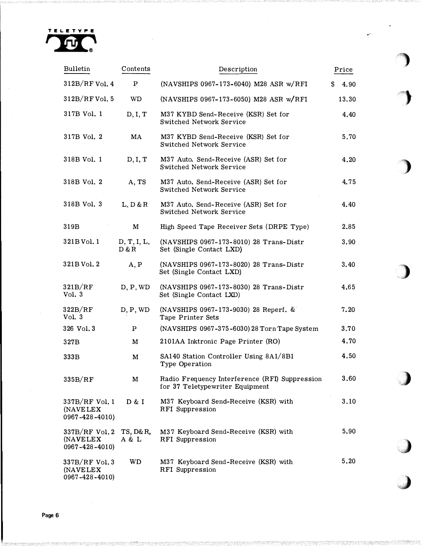

 $\ddot{\phantom{a}}$ 

| <b>Bulletin</b>                                      | Contents             | Description                                                                       | Price      |  |
|------------------------------------------------------|----------------------|-----------------------------------------------------------------------------------|------------|--|
| $312B/RF$ Vol. 4                                     | $\, {\bf p}$         | (NAVSHIPS 0967-173-6040) M28 ASR w/RFI                                            | \$<br>4.90 |  |
| $312B/RF$ Vol. 5                                     | <b>WD</b>            | (NAVSHIPS 0967-173-6050) M28 ASR w/RFI                                            | 13.30      |  |
| 317B Vol. 1                                          | D, I, T              | M37 KYBD Send-Receive (KSR) Set for<br>Switched Network Service                   | 4.40       |  |
| 317B Vol. 2                                          | MA                   | M37 KYBD Send-Receive (KSR) Set for<br>Switched Network Service                   | 5.70       |  |
| 318B Vol. 1                                          | D, I, T              | M37 Auto. Send-Receive (ASR) Set for<br>Switched Network Service                  | 4.20       |  |
| 318B Vol. 2                                          | A, TS                | M37 Auto. Send-Receive (ASR) Set for<br>Switched Network Service                  | 4.75       |  |
| 318B Vol. 3                                          | L, D & R             | M37 Auto. Send-Receive (ASR) Set for<br>Switched Network Service                  | 4.40       |  |
| 319B                                                 | M                    | High Speed Tape Receiver Sets (DRPE Type)                                         | 2.85       |  |
| 321B Vol. 1                                          | D, T, I, L,<br>D & R | (NAVSHIPS 0967-173-8010) 28 Trans-Distr<br>Set (Single Contact LXD)               | 3.90       |  |
| 321B Vol. 2                                          | A, P                 | (NAVSHIPS 0967-173-8020) 28 Trans-Distr<br>Set (Single Contact LXD)               | 3.40       |  |
| 321B/RF<br>Vol. 3                                    | D, P, WD             | (NAVSHIPS 0967-173-8030) 28 Trans-Distr<br>Set (Single Contact LXD)               | 4.65       |  |
| 322B/RF<br>Vol. 3                                    | D, P, WD             | (NAVSHIPS 0967-173-9030) 28 Reperf. &<br>Tape Printer Sets                        | 7.20       |  |
| 326 Vol. 3                                           | $\mathbf{P}$         | (NAVSHIPS 0967-375-6030) 28 Torn Tape System                                      | 3.70       |  |
| 327B                                                 | M                    | 2101AA Inktronic Page Printer (RO)                                                | 4.70       |  |
| 333B                                                 | $\mathbf M$          | SA140 Station Controller Using 8A1/8B1<br>Type Operation                          | 4.50       |  |
| 335B/RF                                              | M                    | Radio Frequency Interference (RFI) Suppression<br>for 37 Teletypewriter Equipment | 3.60       |  |
| 337B/RF Vol. 1<br>(NAVELEX<br>0967-428-4010)         | D & I                | M37 Keyboard Send-Receive (KSR) with<br>RFI Suppression                           | 3.10       |  |
| $337B/RF$ Vol. 2<br>(NAVELEX)<br>$0967 - 428 - 4010$ | TS, D&R,<br>A & L    | M37 Keyboard Send-Receive (KSR) with<br>RFI Suppression                           | 5.90       |  |
| $337B/RF$ Vol. 3<br>(NAVELEX<br>$0967 - 428 - 4010$  | WD                   | M37 Keyboard Send-Receive (KSR) with<br>RFI Suppression                           | 5.20       |  |

'') ,> ;,•,

 $\frac{1}{2}$ 

control and control and control and control and control and control and control and control and control and control and control and control and control and control and control and control and control and control and contro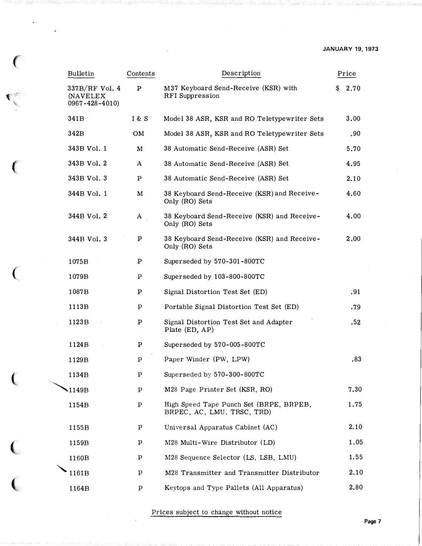### JANUARY 19, 1973

| <b>Bulletin</b>                                           | Contents     | Description                                                           | Price     |
|-----------------------------------------------------------|--------------|-----------------------------------------------------------------------|-----------|
| 337B/RF Vol. 4<br><b>(NAVELEX)</b><br>$0967 - 428 - 4010$ | $\, {\bf P}$ | M37 Keyboard Send-Receive (KSR) with<br>RFI Suppression               | 2.70<br>S |
| 341B                                                      | 1 & S        | Model 38 ASR, KSR and RO Teletypewriter Sets                          | 3.00      |
| 342B                                                      | OM           | Model 38 ASR, KSR and RO Teletypewriter Sets                          | .90       |
| 343B Vol. 1                                               | M            | 38 Automatic Send-Receive (ASR) Set                                   | 5.70      |
| 343B Vol. 2                                               | A            | 38 Automatic Send-Receive (ASR) Set                                   | 4.95      |
| 343B Vol. 3                                               | P            | 38 Automatic Send-Receive (ASR) Set                                   | 2.10      |
| 344B Vol. 1                                               | M            | 38 Keyboard Send-Receive (KSR) and Receive-<br>Only (RO) Sets         | 4.60      |
| 344B Vol. 2                                               | A            | 38 Keyboard Send-Receive (KSR) and Receive-<br>Only (RO) Sets         | 4.00      |
| 344B Vol. 3                                               | P            | 38 Keyboard Send-Receive (KSR) and Receive-<br>Only (RO) Sets         | 2.00      |
| 1075B                                                     | P            | Superseded by 570-301-800TC                                           |           |
| 1079B                                                     | $\mathbf P$  | Superseded by 103-800-800TC                                           |           |
| 1087B                                                     | P            | Signal Distortion Test Set (ED)                                       | .91       |
| 1113B                                                     | $\mathbf P$  | Portable Signal Distortion Test Set (ED)                              | .79       |
| 1123B                                                     | $\, {\bf p}$ | Signal Distortion Test Set and Adapter<br>Plate (ED, AP)              | .52       |
| 1124B                                                     | P            | Superseded by 570-005-800TC                                           |           |
| 1129B                                                     | P            | Paper Winder (PW, LPW)                                                | .83       |
| 1134B                                                     | $\mathbf{P}$ | Superseded by 570-300-800TC                                           |           |
| 1149B                                                     | P            | M28 Page Printer Set (KSR, RO)                                        | 7.30      |
| 1154B                                                     | $\, {\bf p}$ | High Speed Tape Punch Set (BRPE, BRPEB,<br>BRPEC, AC, LMU, TRSC, TRD) | 1.75      |
| 1155B                                                     | Ρ            | Universal Apparatus Cabinet (AC)                                      | 2.10      |
| 1159B                                                     | Ρ            | M28 Multi-Wire Distributor (LD)                                       | 1.05      |
| 1160B                                                     | Ρ            | M28 Sequence Selector (LS, LSB, LMU)                                  | 1.55      |
| 1161B                                                     | Ρ            | M28 Transmitter and Transmitter Distributor                           | 2.10      |
| 1164B                                                     | Ρ            | Keytops and Type Pallets (All Apparatus)                              | 2.80      |

 $\bar{\gamma}$ 

 $\big($ 

 $\epsilon$ 

 $\begin{array}{c} \begin{array}{c} \zeta \\ \zeta \end{array} \end{array}$ 

Prices subject to change without notice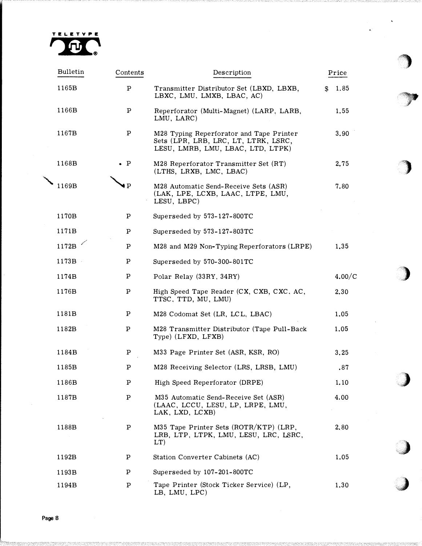

| <b>Bulletin</b> | Contents     | Description                                                                                                           | Price      |  |
|-----------------|--------------|-----------------------------------------------------------------------------------------------------------------------|------------|--|
| 1165B           | Ρ            | Transmitter Distributor Set (LBXD, LBXB,<br>LBXC, LMU, LMXB, LBAC, AC)                                                | 1.85<br>S. |  |
| 1166B           | Ρ            | Reperforator (Multi-Magnet) (LARP, LARB,<br>LMU, LARC)                                                                | 1.55       |  |
| 1167B           | Ρ            | M28 Typing Reperforator and Tape Printer<br>Sets (LPR, LRB, LRC, LT, LTRK, LSRC,<br>LESU, LMRB, LMU, LBAC, LTD, LTPK) | 3.90       |  |
| 1168B           | $\bullet$ P  | M28 Reperforator Transmitter Set (RT)<br>(LTHS, LRXB, LMC, LBAC)                                                      | 2.75       |  |
| 1169B           | $\bullet$ P  | M28 Automatic Send-Receive Sets (ASR)<br>(LAK, LPE, LCXB, LAAC, LTPE, LMU,<br>LESU, LBPC)                             | 7.80       |  |
| 1170B           | $\, {\bf p}$ | Superseded by 573-127-800TC                                                                                           |            |  |
| 1171B           | $\, {\bf p}$ | Superseded by 573-127-803TC                                                                                           |            |  |
| 1172B           | Ρ            | M28 and M29 Non-Typing Reperforators (LRPE)                                                                           | 1.35       |  |
| 1173B           | Ρ            | Superseded by 570-300-801TC                                                                                           |            |  |
| 1174B           | Ρ            | Polar Relay (33RY, 34RY)                                                                                              | 4.00/C     |  |
| 1176B           | Ρ            | High Speed Tape Reader (CX, CXB, CXC, AC,<br>TTSC, TTD, MU, LMU)                                                      | 2.30       |  |
| 1181B           | Ρ            | M28 Codomat Set (LR, LCL, LBAC)                                                                                       | 1.05       |  |
| 1182B           | P            | M28 Transmitter Distributor (Tape Pull-Back<br>Type) (LFXD, LFXB)                                                     | 1.05       |  |
| 1184B           | Ρ            | M33 Page Printer Set (ASR, KSR, RO)                                                                                   | 3.25       |  |
| 1185B           | Ρ            | M28 Receiving Selector (LRS, LRSB, LMU)                                                                               | .87        |  |
| 1186B           | Ρ            | High Speed Reperforator (DRPE)                                                                                        | 1.10       |  |
| 1187B           | Ρ            | M35 Automatic Send-Receive Set (ASR)<br>(LAAC, LCCU, LESU, LP, LRPE, LMU,<br>LAK, LXD, LCXB)                          | 4.00       |  |
| 1188B           | Ρ            | M35 Tape Printer Sets (ROTR/KTP) (LRP,<br>LRB, LTP, LTPK, LMU, LESU, LRC, LSRC,<br>$LT$ )                             | 2.80       |  |
| 1192B           | Ρ            | Station Converter Cabinets (AC)                                                                                       | 1.05       |  |
| 1193B           | Ρ            | Superseded by 107-201-800TC                                                                                           |            |  |
| 1194B           | Ρ            | Tape Printer (Stock Ticker Service) (LP,<br>LB, LMU, LPC)                                                             | 1.30       |  |

 $\big)$ 

Page 8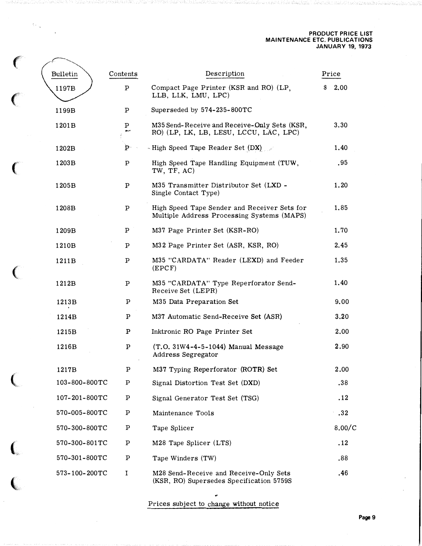#### PRODUCT PRICE LIST MAINTENANCE ETC. PUBLICATIONS JANUARY 19, 1973

| Ł, |               |              |                                                                                            |            |
|----|---------------|--------------|--------------------------------------------------------------------------------------------|------------|
|    | Bulletin      | Contents     | Description                                                                                | Price      |
|    | 1197B         | P            | Compact Page Printer (KSR and RO) (LP,<br>LLB, LLK, LMU, LPC)                              | 2.00<br>\$ |
|    | 1199B         | P            | Superseded by 574-235-800TC                                                                |            |
|    | 1201B         | P            | M35 Send-Receive and Receive-Only Sets (KSR,<br>RO) (LP, LK, LB, LESU, LCCU, LAC, LPC)     | 3.30       |
|    | 1202B         | $P^-$        | - High Speed Tape Reader Set (DX)                                                          | 1.40       |
|    | 1203B         | Ρ            | High Speed Tape Handling Equipment (TUW,<br>TW, TF, AC)                                    | .95        |
|    | 1205B         | $\, {\bf p}$ | M35 Transmitter Distributor Set (LXD -<br>Single Contact Type)                             | 1.20       |
|    | 1208B         | Ρ            | High Speed Tape Sender and Receiver Sets for<br>Multiple Address Processing Systems (MAPS) | 1.85       |
|    | 1209B         | P            | M37 Page Printer Set (KSR-RO)                                                              | 1.70       |
|    | 1210B         | Ρ            | M32 Page Printer Set (ASR, KSR, RO)                                                        | 2.45       |
|    | 1211B         | $\, {\bf p}$ | M35 "CARDATA" Reader (LEXD) and Feeder<br>(EPCF)                                           | 1.35       |
|    | 1212B         | P            | M35 "CARDATA" Type Reperforator Send-<br>Receive Set (LEPR)                                | 1.40       |
|    | 1213B         | $\, {\bf p}$ | M35 Data Preparation Set                                                                   | 9.00       |
|    | 1214B         | P            | M37 Automatic Send-Receive Set (ASR)                                                       | 3.20       |
|    | 1215B         | P            | Inktronic RO Page Printer Set                                                              | 2.00       |
|    | 1216B         | $\, {\bf p}$ | (T.O. 31W4-4-5-1044) Manual Message<br>Address Segregator                                  | 2.90       |
|    | 1217B         | P            | M37 Typing Reperforator (ROTR) Set                                                         | 2.00       |
|    | 103-800-800TC | Ρ            | Signal Distortion Test Set (DXD)                                                           | .38        |
|    | 107-201-800TC | P            | Signal Generator Test Set (TSG)                                                            | .12        |
|    | 570-005-800TC | $\, {\bf p}$ | Maintenance Tools                                                                          | .32        |
|    | 570-300-800TC | Ρ            | Tape Splicer                                                                               | 8.00/C     |
|    | 570-300-801TC | $\mathbf p$  | M28 Tape Splicer (LTS)                                                                     | .12        |
|    | 570-301-800TC | Ρ            | Tape Winders (TW)                                                                          | .88        |
|    | 573-100-200TC | I            | M28 Send-Receive and Receive-Only Sets<br>(KSR, RO) Supersedes Specification 5759S         | .46        |

Prices subject to chan�e without notice

..

 $\mathbf{C}$ 

 $\langle \cdot \rangle_{\chi}$ 

 $\overline{C}$ 

**Controller** 

(

 $\overline{\mathbf{C}}$